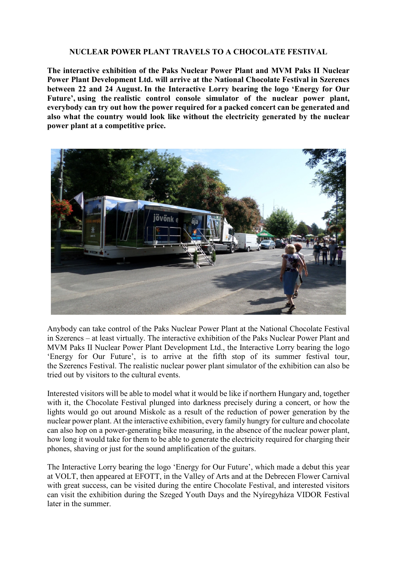## **NUCLEAR POWER PLANT TRAVELS TO A CHOCOLATE FESTIVAL**

**The interactive exhibition of the Paks Nuclear Power Plant and MVM Paks II Nuclear Power Plant Development Ltd. will arrive at the National Chocolate Festival in Szerencs between 22 and 24 August. In the Interactive Lorry bearing the logo 'Energy for Our Future', using the realistic control console simulator of the nuclear power plant, everybody can try out how the power required for a packed concert can be generated and also what the country would look like without the electricity generated by the nuclear power plant at a competitive price.**



Anybody can take control of the Paks Nuclear Power Plant at the National Chocolate Festival in Szerencs – at least virtually. The interactive exhibition of the Paks Nuclear Power Plant and MVM Paks II Nuclear Power Plant Development Ltd., the Interactive Lorry bearing the logo 'Energy for Our Future', is to arrive at the fifth stop of its summer festival tour, the Szerencs Festival. The realistic nuclear power plant simulator of the exhibition can also be tried out by visitors to the cultural events.

Interested visitors will be able to model what it would be like if northern Hungary and, together with it, the Chocolate Festival plunged into darkness precisely during a concert, or how the lights would go out around Miskolc as a result of the reduction of power generation by the nuclear power plant. At the interactive exhibition, every family hungry for culture and chocolate can also hop on a power-generating bike measuring, in the absence of the nuclear power plant, how long it would take for them to be able to generate the electricity required for charging their phones, shaving or just for the sound amplification of the guitars.

The Interactive Lorry bearing the logo 'Energy for Our Future', which made a debut this year at VOLT, then appeared at EFOTT, in the Valley of Arts and at the Debrecen Flower Carnival with great success, can be visited during the entire Chocolate Festival, and interested visitors can visit the exhibition during the Szeged Youth Days and the Nyíregyháza VIDOR Festival later in the summer.